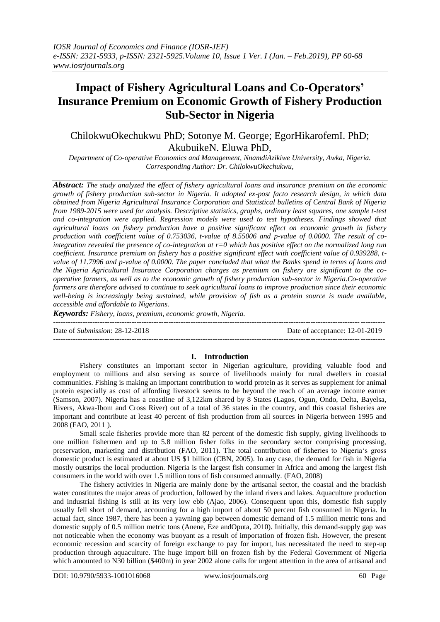# **Impact of Fishery Agricultural Loans and Co-Operators' Insurance Premium on Economic Growth of Fishery Production Sub-Sector in Nigeria**

# ChilokwuOkechukwu PhD; Sotonye M. George; EgorHikarofemI. PhD; AkubuikeN. Eluwa PhD,

*Department of Co-operative Economics and Management, NnamdiAzikiwe University, Awka, Nigeria. Corresponding Author: Dr. ChilokwuOkechukwu,*

*Abstract: The study analyzed the effect of fishery agricultural loans and insurance premium on the economic growth of fishery production sub-sector in Nigeria. It adopted ex-post facto research design, in which data obtained from Nigeria Agricultural Insurance Corporation and Statistical bulletins of Central Bank of Nigeria from 1989-2015 were used for analysis. Descriptive statistics, graphs, ordinary least squares, one sample t-test and co-integration were applied. Regression models were used to test hypotheses. Findings showed that agricultural loans on fishery production have a positive significant effect on economic growth in fishery production with coefficient value of 0.753036, t-value of 8.55006 and p-value of 0.0000. The result of cointegration revealed the presence of co-integration at r=0 which has positive effect on the normalized long run coefficient. Insurance premium on fishery has a positive significant effect with coefficient value of 0.939288, tvalue of 11.7996 and p-value of 0.0000. The paper concluded that what the Banks spend in terms of loans and the Nigeria Agricultural Insurance Corporation charges as premium on fishery are significant to the cooperative farmers, as well as to the economic growth of fishery production sub-sector in Nigeria.Co-operative farmers are therefore advised to continue to seek agricultural loans to improve production since their economic well-being is increasingly being sustained, while provision of fish as a protein source is made available, accessible and affordable to Nigerians.*

*Keywords: Fishery, loans, premium, economic growth, Nigeria. ---------------------------------------------------------------------------------------------------------------------------------------*

Date of *Submission*: 28-12-2018 Date of acceptance: 12-01-2019

#### *---------------------------------------------------------------------------------------------------------------------------------------*

# **I. Introduction**

Fishery constitutes an important sector in Nigerian agriculture, providing valuable food and employment to millions and also serving as source of livelihoods mainly for rural dwellers in coastal communities. Fishing is making an important contribution to world protein as it serves as supplement for animal protein especially as cost of affording livestock seems to be beyond the reach of an average income earner (Samson, 2007). Nigeria has a coastline of 3,122km shared by 8 States (Lagos, Ogun, Ondo, Delta, Bayelsa, Rivers, Akwa-Ibom and Cross River) out of a total of 36 states in the country, and this coastal fisheries are important and contribute at least 40 percent of fish production from all sources in Nigeria between 1995 and 2008 (FAO, 2011 ).

Small scale fisheries provide more than 82 percent of the domestic fish supply, giving livelihoods to one million fishermen and up to 5.8 million fisher folks in the secondary sector comprising processing, preservation, marketing and distribution (FAO, 2011). The total contribution of fisheries to Nigeria"s gross domestic product is estimated at about US \$1 billion (CBN, 2005). In any case, the demand for fish in Nigeria mostly outstrips the local production. Nigeria is the largest fish consumer in Africa and among the largest fish consumers in the world with over 1.5 million tons of fish consumed annually. (FAO, 2008)

The fishery activities in Nigeria are mainly done by the artisanal sector, the coastal and the brackish water constitutes the major areas of production, followed by the inland rivers and lakes. Aquaculture production and industrial fishing is still at its very low ebb (Ajao, 2006). Consequent upon this, domestic fish supply usually fell short of demand, accounting for a high import of about 50 percent fish consumed in Nigeria. In actual fact, since 1987, there has been a yawning gap between domestic demand of 1.5 million metric tons and domestic supply of 0.5 million metric tons (Anene, Eze andOputa, 2010). Initially, this demand-supply gap was not noticeable when the economy was buoyant as a result of importation of frozen fish. However, the present economic recession and scarcity of foreign exchange to pay for import, has necessitated the need to step-up production through aquaculture. The huge import bill on frozen fish by the Federal Government of Nigeria which amounted to N30 billion (\$400m) in year 2002 alone calls for urgent attention in the area of artisanal and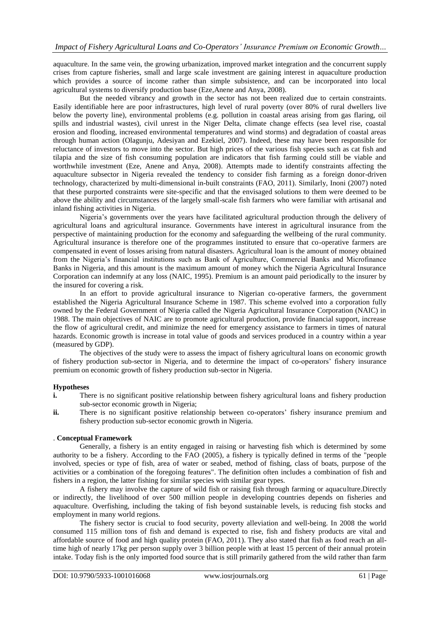aquaculture. In the same vein, the growing urbanization, improved market integration and the concurrent supply crises from capture fisheries, small and large scale investment are gaining interest in aquaculture production which provides a source of income rather than simple subsistence, and can be incorporated into local agricultural systems to diversify production base (Eze,Anene and Anya, 2008).

But the needed vibrancy and growth in the sector has not been realized due to certain constraints. Easily identifiable here are poor infrastructures, high level of rural poverty (over 80% of rural dwellers live below the poverty line), environmental problems (e.g. pollution in coastal areas arising from gas flaring, oil spills and industrial wastes), civil unrest in the Niger Delta, climate change effects (sea level rise, coastal erosion and flooding, increased environmental temperatures and wind storms) and degradation of coastal areas through human action (Olagunju, Adesiyan and Ezekiel, 2007). Indeed, these may have been responsible for reluctance of investors to move into the sector. But high prices of the various fish species such as cat fish and tilapia and the size of fish consuming population are indicators that fish farming could still be viable and worthwhile investment (Eze, Anene and Anya, 2008). Attempts made to identify constraints affecting the aquaculture subsector in Nigeria revealed the tendency to consider fish farming as a foreign donor-driven technology, characterized by multi-dimensional in-built constraints (FAO, 2011). Similarly, Inoni (2007) noted that these purported constraints were site-specific and that the envisaged solutions to them were deemed to be above the ability and circumstances of the largely small-scale fish farmers who were familiar with artisanal and inland fishing activities in Nigeria.

Nigeria"s governments over the years have facilitated agricultural production through the delivery of agricultural loans and agricultural insurance. Governments have interest in agricultural insurance from the perspective of maintaining production for the economy and safeguarding the wellbeing of the rural community. Agricultural insurance is therefore one of the programmes instituted to ensure that co-operative farmers are compensated in event of losses arising from natural disasters. Agricultural loan is the amount of money obtained from the Nigeria"s financial institutions such as Bank of Agriculture, Commercial Banks and Microfinance Banks in Nigeria, and this amount is the maximum amount of money which the Nigeria Agricultural Insurance Corporation can indemnify at any loss (NAIC, 1995). Premium is an amount paid periodically to the insurer by the insured for covering a risk.

In an effort to provide agricultural insurance to Nigerian co-operative farmers, the government established the Nigeria Agricultural Insurance Scheme in 1987. This scheme evolved into a corporation fully owned by the Federal Government of Nigeria called the Nigeria Agricultural Insurance Corporation (NAIC) in 1988. The main objectives of NAIC are to promote agricultural production, provide financial support, increase the flow of agricultural credit, and minimize the need for emergency assistance to farmers in times of natural hazards. Economic growth is increase in total value of goods and services produced in a country within a year (measured by GDP).

The objectives of the study were to assess the impact of fishery agricultural loans on economic growth of fishery production sub-sector in Nigeria, and to determine the impact of co-operators" fishery insurance premium on economic growth of fishery production sub-sector in Nigeria.

# **Hypotheses**

- **i.** There is no significant positive relationship between fishery agricultural loans and fishery production sub-sector economic growth in Nigeria;
- **ii.** There is no significant positive relationship between co-operators' fishery insurance premium and fishery production sub-sector economic growth in Nigeria.

### . **Conceptual Framework**

Generally, a fishery is an entity engaged in raising or harvesting fish which is determined by some authority to be a fishery. According to the FAO (2005), a fishery is typically defined in terms of the "people involved, species or type of fish, area of water or seabed, method of fishing, class of boats, purpose of the activities or a combination of the foregoing features". The definition often includes a combination of fish and fishers in a region, the latter fishing for similar species with similar gear types.

A fishery may involve the capture of wild fish or raising fish through farming or aquaculture.Directly or indirectly, the livelihood of over 500 million people in developing countries depends on fisheries and aquaculture. Overfishing, including the taking of fish beyond sustainable levels, is reducing fish stocks and employment in many world regions.

The fishery sector is crucial to food security, poverty alleviation and well-being. In 2008 the world consumed 115 million tons of fish and demand is expected to rise, fish and fishery products are vital and affordable source of food and high quality protein (FAO, 2011). They also stated that fish as food reach an alltime high of nearly 17kg per person supply over 3 billion people with at least 15 percent of their annual protein intake. Today fish is the only imported food source that is still primarily gathered from the wild rather than farm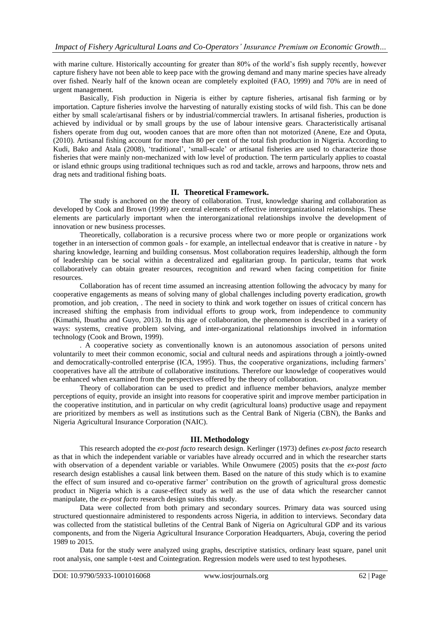with marine culture. Historically accounting for greater than 80% of the world's fish supply recently, however capture fishery have not been able to keep pace with the growing demand and many marine species have already over fished. Nearly half of the known ocean are completely exploited (FAO, 1999) and 70% are in need of urgent management.

Basically, Fish production in Nigeria is either by capture fisheries, artisanal fish farming or by importation. Capture fisheries involve the harvesting of naturally existing stocks of wild fish. This can be done either by small scale/artisanal fishers or by industrial/commercial trawlers. In artisanal fisheries, production is achieved by individual or by small groups by the use of labour intensive gears. Characteristically artisanal fishers operate from dug out, wooden canoes that are more often than not motorized (Anene, Eze and Oputa, (2010). Artisanal fishing account for more than 80 per cent of the total fish production in Nigeria. According to Kudi, Bako and Atala (2008), 'traditional', 'small-scale' or artisanal fisheries are used to characterize those fisheries that were mainly non-mechanized with low level of production. The term particularly applies to coastal or island ethnic groups using traditional techniques such as rod and tackle, arrows and harpoons, throw nets and drag nets and traditional fishing boats.

# **II. Theoretical Framework.**

The study is anchored on the theory of collaboration. Trust, knowledge sharing and collaboration as developed by Cook and Brown (1999) are central elements of effective interorganizational relationships. These elements are particularly important when the interorganizational relationships involve the development of innovation or new business processes.

Theoretically, collaboration is a recursive process where two or more people or organizations work together in an intersection of common goals - for example, an intellectual endeavor that is creative in nature - by sharing knowledge, learning and building consensus. Most collaboration requires leadership, although the form of leadership can be social within a decentralized and egalitarian group. In particular, teams that work collaboratively can obtain greater resources, recognition and reward when facing competition for finite resources.

Collaboration has of recent time assumed an increasing attention following the advocacy by many for cooperative engagements as means of solving many of global challenges including poverty eradication, growth promotion, and job creation, . The need in society to think and work together on issues of critical concern has increased shifting the emphasis from individual efforts to group work, from independence to community (Kimathi, Ibuathu and Guyo, 2013). In this age of collaboration, the phenomenon is described in a variety of ways: systems, creative problem solving, and inter-organizational relationships involved in information technology (Cook and Brown, 1999).

. A cooperative society as conventionally known is an autonomous association of persons united voluntarily to meet their common economic, social and cultural needs and aspirations through a jointly-owned and democratically-controlled enterprise (ICA, 1995). Thus, the cooperative organizations, including farmers" cooperatives have all the attribute of collaborative institutions. Therefore our knowledge of cooperatives would be enhanced when examined from the perspectives offered by the theory of collaboration.

Theory of collaboration can be used to predict and influence member behaviors, analyze member perceptions of equity, provide an insight into reasons for cooperative spirit and improve member participation in the cooperative institution, and in particular on why credit (agricultural loans) productive usage and repayment are prioritized by members as well as institutions such as the Central Bank of Nigeria (CBN), the Banks and Nigeria Agricultural Insurance Corporation (NAIC).

# **III. Methodology**

This research adopted the *ex-post facto* research design. Kerlinger (1973) defines *ex-post facto* research as that in which the independent variable or variables have already occurred and in which the researcher starts with observation of a dependent variable or variables. While Onwumere (2005) posits that the *ex-post facto* research design establishes a causal link between them. Based on the nature of this study which is to examine the effect of sum insured and co-operative farmer' contribution on the growth of agricultural gross domestic product in Nigeria which is a cause-effect study as well as the use of data which the researcher cannot manipulate, the *ex-post facto* research design suites this study.

Data were collected from both primary and secondary sources. Primary data was sourced using structured questionnaire administered to respondents across Nigeria, in addition to interviews. Secondary data was collected from the statistical bulletins of the Central Bank of Nigeria on Agricultural GDP and its various components, and from the Nigeria Agricultural Insurance Corporation Headquarters, Abuja, covering the period 1989 to 2015.

Data for the study were analyzed using graphs, descriptive statistics, ordinary least square, panel unit root analysis, one sample t-test and Cointegration. Regression models were used to test hypotheses.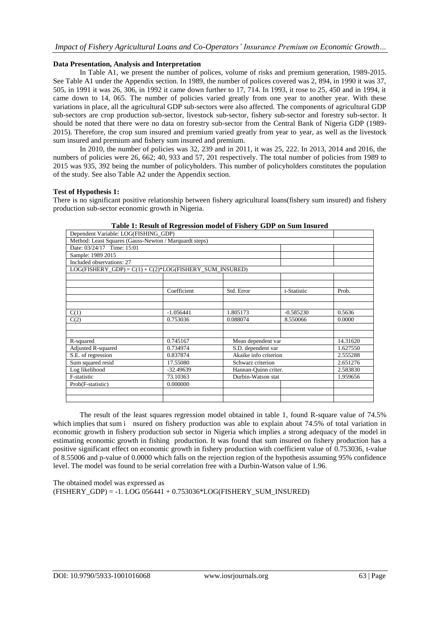### **Data Presentation, Analysis and Interpretation**

In Table A1, we present the number of polices, volume of risks and premium generation, 1989-2015. See Table A1 under the Appendix section. In 1989, the number of polices covered was 2, 894, in 1990 it was 37, 505, in 1991 it was 26, 306, in 1992 it came down further to 17, 714. In 1993, it rose to 25, 450 and in 1994, it came down to 14, 065. The number of policies varied greatly from one year to another year. With these variations in place, all the agricultural GDP sub-sectors were also affected. The components of agricultural GDP sub-sectors are crop production sub-sector, livestock sub-sector, fishery sub-sector and forestry sub-sector. It should be noted that there were no data on forestry sub-sector from the Central Bank of Nigeria GDP (1989- 2015). Therefore, the crop sum insured and premium varied greatly from year to year, as well as the livestock sum insured and premium and fishery sum insured and premium.

In 2010, the number of policies was 32, 239 and in 2011, it was 25, 222. In 2013, 2014 and 2016, the numbers of policies were 26, 662; 40, 933 and 57, 201 respectively. The total number of policies from 1989 to 2015 was 935, 392 being the number of policyholders. This number of policyholders constitutes the population of the study. See also Table A2 under the Appendix section.

#### **Test of Hypothesis 1:**

There is no significant positive relationship between fishery agricultural loans(fishery sum insured) and fishery production sub-sector economic growth in Nigeria.

| Dependent Variable: LOG(FISHING_GDP)                     |                           |                       |             |          |  |  |  |  |  |  |
|----------------------------------------------------------|---------------------------|-----------------------|-------------|----------|--|--|--|--|--|--|
| Method: Least Squares (Gauss-Newton / Marquardt steps)   |                           |                       |             |          |  |  |  |  |  |  |
| Date: 03/24/17 Time: 15:01                               |                           |                       |             |          |  |  |  |  |  |  |
| Sample: 1989 2015                                        |                           |                       |             |          |  |  |  |  |  |  |
| Included observations: 27                                |                           |                       |             |          |  |  |  |  |  |  |
| $LOG(FISHERY_GDP) = C(1) + C(2)*LOG(FISHERY_SUM_NSURED)$ |                           |                       |             |          |  |  |  |  |  |  |
|                                                          |                           |                       |             |          |  |  |  |  |  |  |
|                                                          |                           |                       |             |          |  |  |  |  |  |  |
|                                                          | Coefficient<br>Std. Error |                       |             |          |  |  |  |  |  |  |
|                                                          |                           |                       |             |          |  |  |  |  |  |  |
|                                                          |                           |                       |             |          |  |  |  |  |  |  |
| C(1)                                                     | $-1.056441$               | 1.805173              | $-0.585230$ | 0.5636   |  |  |  |  |  |  |
| C(2)                                                     | 0.753036                  | 0.088074              | 8.550066    | 0.0000   |  |  |  |  |  |  |
|                                                          |                           |                       |             |          |  |  |  |  |  |  |
|                                                          |                           |                       |             |          |  |  |  |  |  |  |
| R-squared                                                | 0.745167                  | Mean dependent var    |             |          |  |  |  |  |  |  |
| <b>Adjusted R-squared</b>                                | 0.734974                  | S.D. dependent var    |             | 1.627550 |  |  |  |  |  |  |
| S.E. of regression                                       | 0.837874                  | Akaike info criterion |             | 2.555288 |  |  |  |  |  |  |
| Sum squared resid                                        | 17.55080                  | Schwarz criterion     |             | 2.651276 |  |  |  |  |  |  |
| Log likelihood                                           | $-32.49639$               | Hannan-Quinn criter.  |             | 2.583830 |  |  |  |  |  |  |
| F-statistic                                              | 73.10363                  | Durbin-Watson stat    |             | 1.959656 |  |  |  |  |  |  |
| Prob(F-statistic)                                        | 0.000000                  |                       |             |          |  |  |  |  |  |  |
|                                                          |                           |                       |             |          |  |  |  |  |  |  |
|                                                          |                           |                       |             |          |  |  |  |  |  |  |

|  |  |  | Table 1: Result of Regression model of Fishery GDP on Sum Insured |
|--|--|--|-------------------------------------------------------------------|
|--|--|--|-------------------------------------------------------------------|

The result of the least squares regression model obtained in table 1, found R-square value of 74.5% which implies that sum i nsured on fishery production was able to explain about 74.5% of total variation in economic growth in fishery production sub sector in Nigeria which implies a strong adequacy of the model in estimating economic growth in fishing production. It was found that sum insured on fishery production has a positive significant effect on economic growth in fishery production with coefficient value of 0.753036, t-value of 8.55006 and p-value of 0.0000 which falls on the rejection region of the hypothesis assuming 95% confidence level. The model was found to be serial correlation free with a Durbin-Watson value of 1.96.

The obtained model was expressed as  $(FISHERY GDP) = -1. LOG 056441 + 0.753036*LOG(FISHERY SUM INSURED)$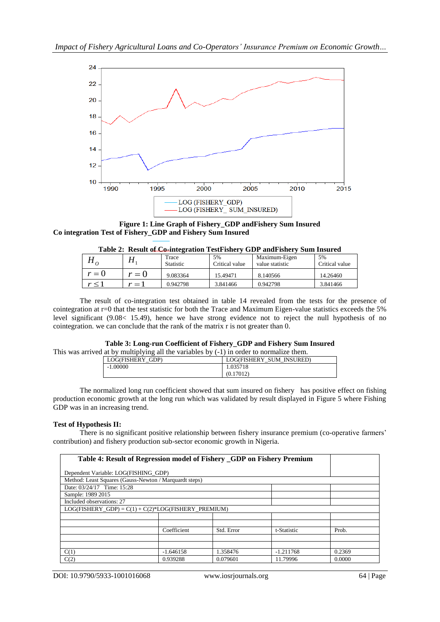

**Figure 1: Line Graph of Fishery\_GDP andFishery Sum Insured Co integration Test of Fishery\_GDP and Fishery Sum Insured**

| Table 2: Result of Co-integration Test ishery GDT and ishery Suili msured |              |                  |                |                 |                |  |  |  |  |  |  |  |
|---------------------------------------------------------------------------|--------------|------------------|----------------|-----------------|----------------|--|--|--|--|--|--|--|
|                                                                           |              | Trace            | 5%             | Maximum-Eigen   | 5%             |  |  |  |  |  |  |  |
|                                                                           | 11 .         | <b>Statistic</b> | Critical value | value statistic | Critical value |  |  |  |  |  |  |  |
| $r = 0$                                                                   | $r=0$        | 9.083364         | 15.49471       | 8.140566        | 14.26460       |  |  |  |  |  |  |  |
| $r \leq 1$                                                                | $=$ $\prime$ | 0.942798         | 3.841466       | 0.942798        | 3.841466       |  |  |  |  |  |  |  |
|                                                                           |              |                  |                |                 |                |  |  |  |  |  |  |  |

# **Table 2: Result of Co-integration TestFishery GDP andFishery Sum Insured**

The result of co-integration test obtained in table 14 revealed from the tests for the presence of cointegration at r=0 that the test statistic for both the Trace and Maximum Eigen-value statistics exceeds the 5% level significant (9.08< 15.49), hence we have strong evidence not to reject the null hypothesis of no cointegration. we can conclude that the rank of the matrix r is not greater than 0.

#### **Table 3: Long-run Coefficient of Fishery\_GDP and Fishery Sum Insured**

This was arrived at by multiplying all the variables by (-1) in order to normalize them.

| LOG(FISHERY<br>GDP) | LOG(FISHERY<br><b>SUM</b><br><b>INSURED</b> ) |
|---------------------|-----------------------------------------------|
| $-1.00000$          | 1.035718                                      |
|                     | (0.17012)                                     |

The normalized long run coefficient showed that sum insured on fishery has positive effect on fishing production economic growth at the long run which was validated by result displayed in Figure 5 where Fishing GDP was in an increasing trend.

# **Test of Hypothesis II:**

There is no significant positive relationship between fishery insurance premium (co-operative farmers' contribution) and fishery production sub-sector economic growth in Nigeria.

| Table 4: Result of Regression model of Fishery _GDP on Fishery Premium |             |            |             |        |
|------------------------------------------------------------------------|-------------|------------|-------------|--------|
| Dependent Variable: LOG(FISHING GDP)                                   |             |            |             |        |
| Method: Least Squares (Gauss-Newton / Marquardt steps)                 |             |            |             |        |
| Date: 03/24/17 Time: 15:28                                             |             |            |             |        |
| Sample: 1989 2015                                                      |             |            |             |        |
| Included observations: 27                                              |             |            |             |        |
| $LOG(FISHERY_GDP) = C(1) + C(2)*LOG(FISHERY_PREMIUM)$                  |             |            |             |        |
|                                                                        |             |            |             |        |
|                                                                        |             |            |             |        |
|                                                                        | Coefficient | Std. Error | t-Statistic | Prob.  |
|                                                                        |             |            |             |        |
|                                                                        |             |            |             |        |
| C(1)                                                                   | $-1.646158$ | 1.358476   | $-1.211768$ | 0.2369 |
| C(2)                                                                   | 0.939288    | 0.079601   | 11.79996    | 0.0000 |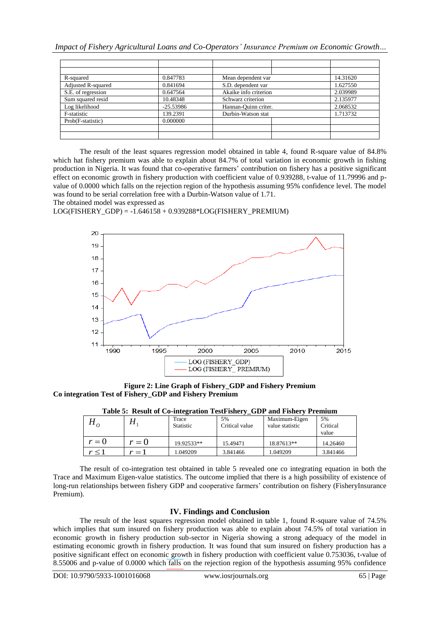| R-squared                 | 0.847783    | Mean dependent var    | 14.31620 |
|---------------------------|-------------|-----------------------|----------|
| <b>Adjusted R-squared</b> | 0.841694    | S.D. dependent var    | 1.627550 |
| S.E. of regression        | 0.647564    | Akaike info criterion | 2.039989 |
| Sum squared resid         | 10.48348    | Schwarz criterion     | 2.135977 |
| Log likelihood            | $-25.53986$ | Hannan-Quinn criter.  | 2.068532 |
| F-statistic               | 139.2391    | Durbin-Watson stat    | 1.713732 |
| Prob(F-statistic)         | 0.000000    |                       |          |
|                           |             |                       |          |
|                           |             |                       |          |

The result of the least squares regression model obtained in table 4, found R-square value of 84.8% which hat fishery premium was able to explain about 84.7% of total variation in economic growth in fishing production in Nigeria. It was found that co-operative farmers" contribution on fishery has a positive significant effect on economic growth in fishery production with coefficient value of 0.939288, t-value of 11.79996 and pvalue of 0.0000 which falls on the rejection region of the hypothesis assuming 95% confidence level. The model was found to be serial correlation free with a Durbin-Watson value of 1.71.

The obtained model was expressed as

LOG(FISHERY\_GDP) = -1.646158 + 0.939288\*LOG(FISHERY\_PREMIUM)



**Figure 2: Line Graph of Fishery\_GDP and Fishery Premium Co integration Test of Fishery\_GDP and Fishery Premium**

| $\mathbf{u}_0$ |                           | Trace<br><b>Statistic</b> | 5%<br>Critical value | Maximum-Eigen<br>value statistic | 5%<br>Critical<br>value |
|----------------|---------------------------|---------------------------|----------------------|----------------------------------|-------------------------|
| $r = 0$        | $r=0$                     | 19.92533**                | 15.49471             | 18.87613**                       | 14.26460                |
|                | $\mathbf{v} = \mathbf{v}$ | 1.049209                  | 3.841466             | 1.049209                         | 3.841466                |

**Table 5: Result of Co-integration TestFishery\_GDP and Fishery Premium**

The result of co-integration test obtained in table 5 revealed one co integrating equation in both the Trace and Maximum Eigen-value statistics. The outcome implied that there is a high possibility of existence of long-run relationships between fishery GDP and cooperative farmers" contribution on fishery (FisheryInsurance Premium).

#### **IV. Findings and Conclusion**

The result of the least squares regression model obtained in table 1, found R-square value of 74.5% which implies that sum insured on fishery production was able to explain about 74.5% of total variation in economic growth in fishery production sub-sector in Nigeria showing a strong adequacy of the model in estimating economic growth in fishery production. It was found that sum insured on fishery production has a positive significant effect on economic growth in fishery production with coefficient value 0.753036, t-value of 8.55006 and p-value of 0.0000 which falls on the rejection region of the hypothesis assuming 95% confidence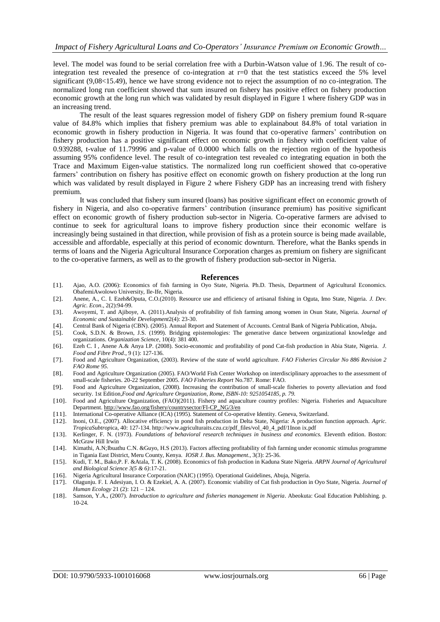level. The model was found to be serial correlation free with a Durbin-Watson value of 1.96. The result of cointegration test revealed the presence of co-integration at  $r=0$  that the test statistics exceed the 5% level significant (9,08<15.49), hence we have strong evidence not to reject the assumption of no co-integration. The normalized long run coefficient showed that sum insured on fishery has positive effect on fishery production economic growth at the long run which was validated by result displayed in Figure 1 where fishery GDP was in an increasing trend.

The result of the least squares regression model of fishery GDP on fishery premium found R-square value of 84.8% which implies that fishery premium was able to explainabout 84.8% of total variation in economic growth in fishery production in Nigeria. It was found that co-operative farmers" contribution on fishery production has a positive significant effect on economic growth in fishery with coefficient value of 0.939288, t-value of 11.79996 and p-value of 0.0000 which falls on the rejection region of the hypothesis assuming 95% confidence level. The result of co-integration test revealed co integrating equation in both the Trace and Maximum Eigen-value statistics. The normalized long run coefficient showed that co-operative farmers" contribution on fishery has positive effect on economic growth on fishery production at the long run which was validated by result displayed in Figure 2 where Fishery GDP has an increasing trend with fishery premium.

It was concluded that fishery sum insured (loans) has positive significant effect on economic growth of fishery in Nigeria, and also co-operative farmers" contribution (insurance premium) has positive significant effect on economic growth of fishery production sub-sector in Nigeria. Co-operative farmers are advised to continue to seek for agricultural loans to improve fishery production since their economic welfare is increasingly being sustained in that direction, while provision of fish as a protein source is being made available, accessible and affordable, especially at this period of economic downturn. Therefore, what the Banks spends in terms of loans and the Nigeria Agricultural Insurance Corporation charges as premium on fishery are significant to the co-operative farmers, as well as to the growth of fishery production sub-sector in Nigeria.

#### **References**

- [1]. Ajao, A.O. (2006): Economics of fish farming in Oyo State, Nigeria. Ph.D. Thesis, Department of Agricultural Economics. ObafemiAwolowo University, Ile-Ife, Nigeria.
- [2]. Anene, A., C. I. Ezeh&Oputa, C.O.(2010). Resource use and efficiency of artisanal fishing in Oguta, Imo State, Nigeria. *J. Dev. Agric. Econ*., 2(2):94-99.
- [3]. Awoyemi, T. and Ajiboye, A. (2011).Analysis of profitability of fish farming among women in Osun State, Nigeria. *Journal of Economic and Sustainable Development*2(4): 23-30.
- [4]. Central Bank of Nigeria (CBN). (2005). Annual Report and Statement of Accounts. Central Bank of Nigeria Publication, Abuja**.**
- [5]. Cook, S.D.N. & Brown, J.S. (1999). Bridging epistemologies: The generative dance between organizational knowledge and organizations. *Organization Science*, 10(4): 381 400.
- [6]. Ezeh C. I , Anene A.& Anya I.P. (2008). Socio-economic and profitability of pond Cat-fish production in Abia State, Nigeria. *J. Food and Fibre Prod*., 9 (1): 127-136.
- [7]. Food and Agriculture Organization, (2003). Review of the state of world agriculture. *FAO Fisheries Circular No 886 Revision 2 FAO Rome 95.*
- [8]. Food and Agriculture Organization (2005). FAO/World Fish Center Workshop on interdisciplinary approaches to the assessment of small-scale fisheries. 20-22 September 2005. *FAO Fisheries Report* No.787. Rome: FAO.
- [9]. Food and Agriculture Organization, (2008). Increasing the contribution of small-scale fisheries to poverty alleviation and food security. 1st Edition,*Food and Agriculture Organization, Rome, ISBN-10: 9251054185, p. 79.*
- [10]. Food and Agriculture Organization, (FAO)(2011). Fishery and aquaculture country profiles: Nigeria. Fisheries and Aquaculture Department. [http://www.fao.org/fishery/countrysector/FI-CP\\_NG/3/en](http://www.fao.org/fishery/countrysector/FI-CP_NG/3/en)
- [11]. International Co-operative Alliance (ICA) (1995). Statement of Co-operative Identity. Geneva, Switzerland.
- [12]. Inoni, O.E., (2007). Allocative efficiency in pond fish production in Delta State, Nigeria: A production function approach. *Agric. TropicaSubtrop*ica, 40: 127-134. http://www.agriculturaits.czu.cz/pdf\_files/vol\_40\_4\_pdf/1Inon ix.pdf
- [13]. Kerlinger, F. N. (1973). *Foundations of behavioral research techniques in business and economics.* Eleventh edition. Boston: McGraw Hill Irwin
- [14]. Kimathi, A.N;Ibuathu C.N. &Guyo, H.S (2013). Factors affecting profitability of fish farming under economic stimulus programme in Tigania East District, Meru County, Kenya. *IOSR J. Bus. Management*., 3(3): 25-36.
- [15]. Kudi, T. M., Bako,P. F. &Atala, T. K. (2008). Economics of fish production in Kaduna State Nigeria. *ARPN Journal of Agricultural and Biological Science 3(5 & 6)*:17-21.
- [16]. Nigeria Agricultural Insurance Corporation (NAIC) (1995). Operational Guidelines, Abuja, Nigeria.
- [17]. Olagunju. F. I. Adesiyan, I. O. & Ezekiel, A. A. (2007). Economic viability of Cat fish production in Oyo State, Nigeria. *Journal of Human Ecology* 21 (2): 121 – 124.
- [18]. Samson, Y.A., (2007). *Introduction to agriculture and fisheries management in Nigeria*. Abeokuta: Goal Education Publishing. p. 10-24.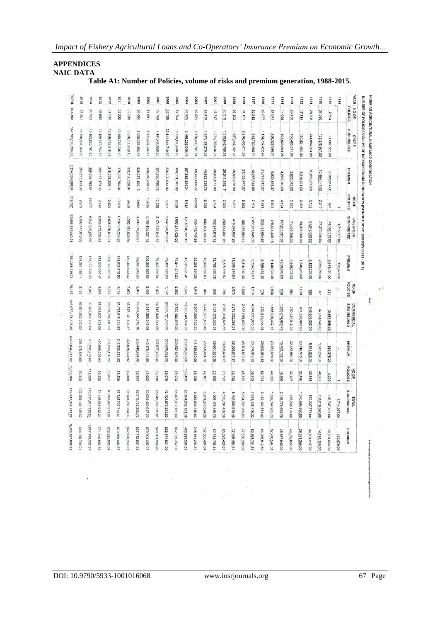*Impact of Fishery Agricultural Loans and Co-Operators' Insurance Premium on Economic Growth…*

# **APPENDICES NAIC DATA**

 $\mathcal{L}_{\mathcal{A}}$ 

| 2014<br>40,903<br>15, 163, 925, 791 90<br>399.363,783.87<br>59,077 |                        | 2013<br>26,662<br>13,189,678,793.75<br>202, 157, 173.38 | 2012<br>31,534<br>12,259,735,518.42<br>218,093,209.11<br>19.504 | 2011<br>25,222<br>10,189,788,235.10<br>175,998,784.84<br>10,198 | 2010<br>32,239<br>8,228,703,850.10<br>332,160,320.97 | 2009<br>36,484<br>8,008,353,350.96<br>528,278,104.13 | 2008<br>31,881<br>6,521,997,244.67<br>130,040,419.43<br>13,635 | 2007<br>39,769<br>7,147,490,858.50<br>131,960,430.76<br>10,126 | 2006<br>55,729<br>20,111,644,710.00<br>226,602,032.00 | 2005<br>51,704<br>5,733,886,849.00<br>189,331,785.00 | 2004<br>506'86<br>5,766,236,045.17<br>167,856,524.24 | 2003<br>40,821<br>2,473,386,761.54<br>69,472,608.72<br>069'67 | 2002<br>22.419<br>1,897,197,279.08<br>40,828,339.78<br>19,285 | 2001<br>16,717<br>271,755,946.25<br>30,503,677.09 | 2000<br>20,373<br>1,319,843,788.09<br>26,511,348.17 | 6661<br>26,103<br>1,557,247,252.38<br>26,506,878.90 | 8661<br>34,151<br>2,218,495,471.59<br>23,135,747.57 | 1997<br>50,215<br>848,700,86574<br>18,265,344.58 | 9661<br>42,377<br>174,797,422.42<br>21,775,915.67 | \$661<br>27.841<br>256,327,096.71<br>8,836,928.37 | 1994<br>14,088<br>198,636,654 25<br>4,296,040.00 | 1993<br>25,450<br>56,485,011.00<br>2,633,812.00 | 1992<br>17,714<br>130,531,860.00<br>3,214,421.00 | 1991<br>28,306<br>244,094,064.00<br>16,036,980.00 | 0661<br>37,690<br>159,575,967.00<br>10,484,141.00 | 1989<br>2,894<br>91,687,563.00<br>6,509,817.00 | 1988            | <b>YEAR</b><br>POLICIES<br>NO OF<br>SUM INSURED<br>CROPS<br>PREMIUM<br>POLICIES<br>NO OF |
|--------------------------------------------------------------------|------------------------|---------------------------------------------------------|-----------------------------------------------------------------|-----------------------------------------------------------------|------------------------------------------------------|------------------------------------------------------|----------------------------------------------------------------|----------------------------------------------------------------|-------------------------------------------------------|------------------------------------------------------|------------------------------------------------------|---------------------------------------------------------------|---------------------------------------------------------------|---------------------------------------------------|-----------------------------------------------------|-----------------------------------------------------|-----------------------------------------------------|--------------------------------------------------|---------------------------------------------------|---------------------------------------------------|--------------------------------------------------|-------------------------------------------------|--------------------------------------------------|---------------------------------------------------|---------------------------------------------------|------------------------------------------------|-----------------|------------------------------------------------------------------------------------------|
|                                                                    | 6,647,925,657.60       | 9,314<br>6,835,672,336.64                               | 8,825,970,013.21                                                | 6,102,993,258.98                                                | 999'6<br>5,362,461,605.66                            | 13.662<br>4,303,813,298.67                           | 5,185,105,361.45                                               | 3,174,922,912 32                                               | 8,202<br>2,542,298,013.00                             | 8,056<br>1,883,241,405.00                            | 5.612<br>1,215,546,151.49                            | 66'87'878.99                                                  | 653,104,146.74                                                | 2,794<br>362,249,017.12                           | 2,654<br>250,744,841.16                             | 5757<br>416,844,067.90                              | 298'8<br>198,166,994.44                             | 7,801<br>2,187,551,045.05                        | 126'8<br>206,427,684.97                           | 6,924<br>178,391,449.15                           | 4,124<br>137,265,061.07                          | £66'S<br>71,405,286.00                          | 3,463<br>34,036,000.00                           | 2.159<br>81,642,693.00                            | 2,310<br>27,370,080.00                            | 974<br>44,192,013.00                           | 1,714,387.00    | SUM INSURED<br><b>LIVESTOCK</b>                                                          |
| 154,367,135.14                                                     | 173,172,790.38         | 138,303,094 47                                          | 384,169,587.64                                                  | 148,035,676.90                                                  | 131,390,643.02                                       | 88,993,845.93                                        | 09,388,562.65                                                  | 79,343,229.04                                                  | 73,406,380.00                                         | 71,844,941.00                                        | 47,123,725.41                                        | 38,268,804.56                                                 | 19,930.689.53                                                 | 12,709,460.79                                     | 8,275,655.67                                        | 11,588,914.04                                       | 6,315,940.40                                        | 8,324,312.63                                     | 8,499,512.10                                      | 5,140,924.46                                      | 4,659,648.00                                     | 4,946,209.00                                    | 1,546,419.00                                     | 6,123,202.00                                      | 2,052,756.00                                      | 3,314,401.00                                   | 128,579.00      | PREMIUM                                                                                  |
| $\tilde{\mathbf{r}}$<br>681                                        | 2,846                  | 3.856                                                   | 2,789                                                           | 4,109                                                           | 7,973                                                | 2,847                                                | 2.486                                                          | 2,423                                                          | 5,148                                                 | 5,263                                                | 3,922                                                | 4,948                                                         | 63                                                            | 699                                               | 962                                                 | 3,875                                               | 2,099                                               | 916'1                                            | 922                                               | 8538                                              | 999                                              | 796                                             | 1.019                                            | 390                                               | $\overline{c}$                                    | 211                                            |                 | POLICIES<br>NO OF                                                                        |
| 86,801,662,232.02                                                  | 88,205,965,933.04      | 51,093,637,801.95                                       | 25,820,790,440.31                                               | 21,433,016,219 93                                               | 48,317,131,808.57                                    | 15,758,565,616.10                                    | 8,917,380,041.08                                               | 14,718,349,314 99                                              | 20,450,727,568 00                                     | 10,790,483,92800                                     | 5,923,049.964.53                                     | 6,807,069,720.30                                              | 3,740,977,598 48                                              | 2,434,173,523.33                                  | 2,980,118,826.85                                    | 3,218,002,298.21                                    | 2,638,059,533.90                                    | 4,644,887,835.53                                 | 1,730,914,444.03                                  | 1,465,026,437.87                                  | 1,820,874,980.43                                 | 750,447,812.00                                  | 911,328,000.00                                   | 246,601,000.00                                    | 47,064,543.00                                     | 10,867,885.00                                  |                 | <b>COMMERCIAL</b><br>SUM INSURED                                                         |
| 276,178,549.69                                                     | 435,262,759.62         | 430,886,290.94                                          | 337,363,106.29                                                  | 246,335,531.83                                                  | 378,625,394.92                                       | 200,440,984.49                                       | 440,175,114.99                                                 | 337,677,409.40                                                 | 255,866,522.00                                        | 300,852,626.00                                       | 283,319,336.68                                       | 141,139,880.09                                                | 76,906,464.73                                                 | 39,661,655.26                                     | 30,806,424.97                                       | 39.560.671.37                                       | 48,104,610.12                                       | 36,374,096.92                                    | 26,690,084.83                                     | 23,762,694.68                                     | 16,402,152.00                                    | 32,472,801.00                                   | 23,510,515.00                                    | 8,631,035.00                                      | 1,647,259.00                                      | 380,376.00                                     |                 | PREMIUM                                                                                  |
| 70,313                                                             | 112,826                | 39,832                                                  | 53.827                                                          | 39.529                                                          | 49,868                                               | 52,993                                               | 48,002                                                         | 52,318                                                         | 620'69                                                | 65,023                                               | 108,439                                              | 69'459                                                        | 42,167                                                        | 20,180                                            | 23,822                                              | 36,735                                              | 45,112                                              | 59,932                                           | 52.074                                            | 44,303                                            | 18,868                                           | 32,407                                          | 22,196                                           | 30,855                                            | 40,067                                            | 4.079                                          |                 | POLICIES<br>NO OF                                                                        |
| 107,265,104<br>285.62                                              | 110,017,817,<br>382.54 | 71.118,988,<br>932.34                                   | 46,906,495<br>71.94                                             | 37,725,797<br>714.01                                            | 61,908,297,264.33                                    | 28,070,732<br>265.73                                 | 20.624,482<br>647.20                                           | 25.040,763<br>185.81                                           | 43.104,670,<br>291.00                                 | 18.407,612<br>182.00                                 | 26.904,832<br>161.19                                 | 9,835,936.<br>230.83                                          | 6,291,279<br>024.30                                           | 4.068,178<br>486.70                               | 4,550,707,<br>456.10                                | 5,192,093<br>618.49                                 | 5,054,721,999.93                                    | 7,681,139<br>746.32                              | 3,112,139<br>551.42                               | 1,899,744,<br>883.73                              | 2,156,776,<br>£2'569                             | 978,338,<br>00 601                              | 1,075,895<br>860.00                              | 572,337.<br>00'292'                               | 234,010,<br>00'069                                | 146,747,<br>461.00                             | 1.714<br>387.00 | SUM INSURED<br>TOTAL                                                                     |
| 694,058,798.21                                                     | 1,007,799,333.87       | 771,346,55879                                           | 939,625,903.04                                                  | 570,369,993.57                                                  | 842,176,358.91                                       | 827,712.934.55                                       | 679,604,097,07                                                 | 548,981.069.20                                                 | 555,874,934.00                                        | 562,029,352.00                                       | 498,299,586.33                                       | 248,881,293.37                                                | 137,665,494.04                                                | 82,874,793.14                                     | 65,593,428.81                                       | 77,656,464.31                                       | 17,556,298.09                                       | 62,963,754.13                                    | 56,965,512.60                                     | 37,740,547.51                                     | 25,357,840.00                                    | 40,052,822.00                                   | 28,271,355.00                                    | 30,791,217.00                                     | 14,184,156.00                                     | 10,204,594.00                                  | 128,579.00      | PREMIUM                                                                                  |

 $\cdot$   $\epsilon$